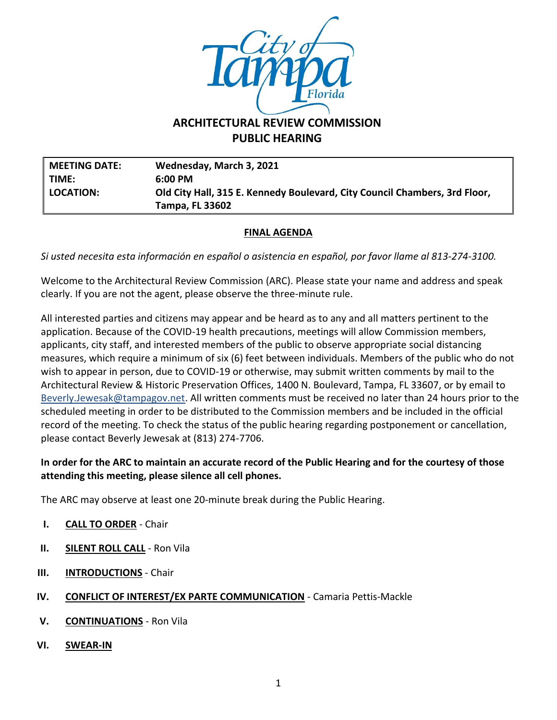

# **ARCHITECTURAL REVIEW COMMISSION PUBLIC HEARING**

**MEETING DATE: Wednesday, March 3, 2021 TIME: 6:00 PM LOCATION: Old City Hall, 315 E. Kennedy Boulevard, City Council Chambers, 3rd Floor, Tampa, FL 33602**

### **FINAL AGENDA**

*Si usted necesita esta información en español o asistencia en español, por favor llame al 813-274-3100.*

Welcome to the Architectural Review Commission (ARC). Please state your name and address and speak clearly. If you are not the agent, please observe the three-minute rule.

All interested parties and citizens may appear and be heard as to any and all matters pertinent to the application. Because of the COVID-19 health precautions, meetings will allow Commission members, applicants, city staff, and interested members of the public to observe appropriate social distancing measures, which require a minimum of six (6) feet between individuals. Members of the public who do not wish to appear in person, due to COVID-19 or otherwise, may submit written comments by mail to the Architectural Review & Historic Preservation Offices, 1400 N. Boulevard, Tampa, FL 33607, or by email to [Beverly.Jewesak@tampagov.net.](mailto:Beverly.Jewesak@tampagov.net) All written comments must be received no later than 24 hours prior to the scheduled meeting in order to be distributed to the Commission members and be included in the official record of the meeting. To check the status of the public hearing regarding postponement or cancellation, please contact Beverly Jewesak at (813) 274-7706.

## **In order for the ARC to maintain an accurate record of the Public Hearing and for the courtesy of those attending this meeting, please silence all cell phones.**

The ARC may observe at least one 20-minute break during the Public Hearing.

- **I. CALL TO ORDER** Chair
- **II. SILENT ROLL CALL** Ron Vila
- **III. INTRODUCTIONS** Chair
- **IV. CONFLICT OF INTEREST/EX PARTE COMMUNICATION** Camaria Pettis-Mackle
- **V. CONTINUATIONS** Ron Vila
- **VI. SWEAR-IN**